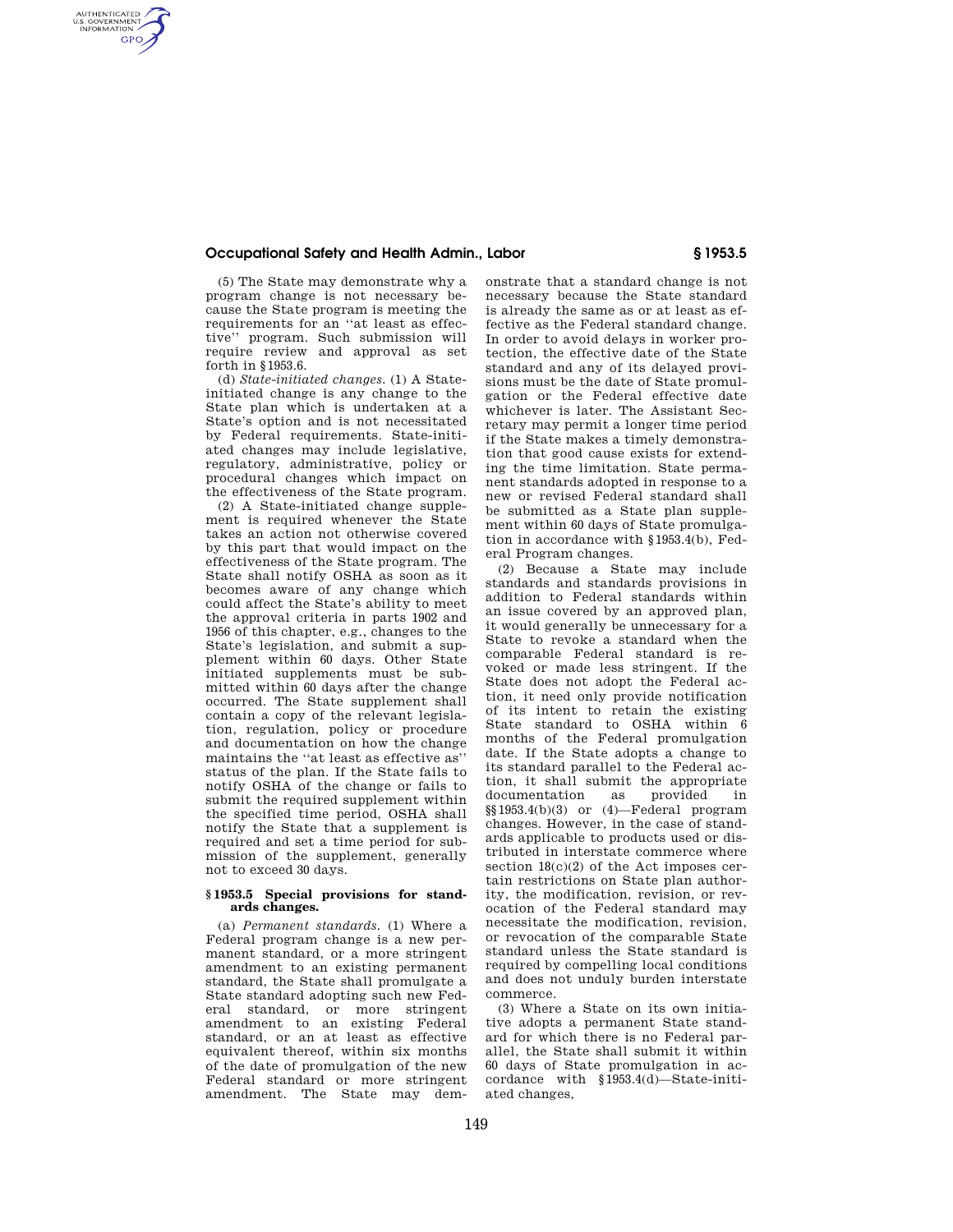## **Occupational Safety and Health Admin., Labor § 1953.5**

(5) The State may demonstrate why a program change is not necessary because the State program is meeting the requirements for an ''at least as effective'' program. Such submission will require review and approval as set forth in §1953.6.

AUTHENTICATED<br>U.S. GOVERNMENT<br>INFORMATION **GPO** 

> (d) *State-initiated changes.* (1) A Stateinitiated change is any change to the State plan which is undertaken at a State's option and is not necessitated by Federal requirements. State-initiated changes may include legislative, regulatory, administrative, policy or procedural changes which impact on the effectiveness of the State program.

> (2) A State-initiated change supplement is required whenever the State takes an action not otherwise covered by this part that would impact on the effectiveness of the State program. The State shall notify OSHA as soon as it becomes aware of any change which could affect the State's ability to meet the approval criteria in parts 1902 and 1956 of this chapter, e.g., changes to the State's legislation, and submit a supplement within 60 days. Other State initiated supplements must be submitted within 60 days after the change occurred. The State supplement shall contain a copy of the relevant legislation, regulation, policy or procedure and documentation on how the change maintains the ''at least as effective as'' status of the plan. If the State fails to notify OSHA of the change or fails to submit the required supplement within the specified time period, OSHA shall notify the State that a supplement is required and set a time period for submission of the supplement, generally not to exceed 30 days.

#### **§ 1953.5 Special provisions for standards changes.**

(a) *Permanent standards.* (1) Where a Federal program change is a new permanent standard, or a more stringent amendment to an existing permanent standard, the State shall promulgate a State standard adopting such new Federal standard, or more stringent amendment to an existing Federal standard, or an at least as effective equivalent thereof, within six months of the date of promulgation of the new Federal standard or more stringent amendment. The State may demonstrate that a standard change is not necessary because the State standard is already the same as or at least as effective as the Federal standard change. In order to avoid delays in worker protection, the effective date of the State standard and any of its delayed provisions must be the date of State promulgation or the Federal effective date whichever is later. The Assistant Secretary may permit a longer time period if the State makes a timely demonstration that good cause exists for extending the time limitation. State permanent standards adopted in response to a new or revised Federal standard shall be submitted as a State plan supplement within 60 days of State promulgation in accordance with §1953.4(b), Federal Program changes.

(2) Because a State may include standards and standards provisions in addition to Federal standards within an issue covered by an approved plan, it would generally be unnecessary for a State to revoke a standard when the comparable Federal standard is revoked or made less stringent. If the State does not adopt the Federal action, it need only provide notification of its intent to retain the existing State standard to OSHA within 6 months of the Federal promulgation date. If the State adopts a change to its standard parallel to the Federal action, it shall submit the appropriate documentation as provided in §§1953.4(b)(3) or (4)—Federal program changes. However, in the case of standards applicable to products used or distributed in interstate commerce where section 18(c)(2) of the Act imposes certain restrictions on State plan authority, the modification, revision, or revocation of the Federal standard may necessitate the modification, revision, or revocation of the comparable State standard unless the State standard is required by compelling local conditions and does not unduly burden interstate commerce.

(3) Where a State on its own initiative adopts a permanent State standard for which there is no Federal parallel, the State shall submit it within 60 days of State promulgation in accordance with §1953.4(d)—State-initiated changes,